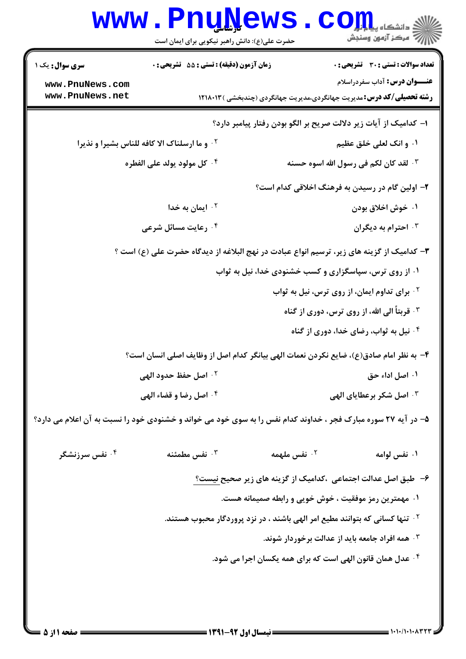## WWW.PnuNews.com حضرت علی(ع): دانش راهبر نیکویی برای ایمان است **زمان آزمون (دقیقه) : تستی : 55 تشریحی : 0 تعداد سوالات : تستي : 30 ٪ تشريحي : 0 سری سوال :** یک ۱ **عنـــوان درس:** آداب سفردراسلام www.PnuNews.com www.PnuNews.net **رشته تحصیلی/کد درس: م**دیریت جهانگردی،مدیریت جهانگردی (چندبخشی )۱۲۱۸۰۱۳ ا– كداميك از آيات زير دلالت صريح بر الگو بودن رفتار پيامبر دارد؟ **10 و ما ارسلناک الا کافه للناس بشیرا و نذیرا** ١. وانك لعلى خلق عظيم ۰۴ كل مولود يولد على الفطره <sup>٣.</sup> لقد كان لكم في رسول الله اسوه حسنه ۲- اولین گام در رسیدن به فرهنگ اخلاقی کدام است؟ ۰<sup>۲</sup> ایمان به خدا ۰۱ خوش اخلاق بودن ۰۴ رعایت مسائل شرعی احترام به دیگران  $\cdot$ ۳ ٣- كداميك از گزينه هاي زير، ترسيم انواع عبادت در نهج البلاغه از ديدگاه حضرت علي (ع) است ؟ ۰۱ از روی ترس، سیاسگزاری و کسب خشنودی خدا، نیل به ثواب ۰<sup>۲</sup> برای تداوم ایمان، از روی ترس، نیل به ثواب ۰۳ قربتاً الی الله، از روی ترس، دوری از گناه ۰۴ نیل به ثواب، رضای خدا، دوری از گناه ۴- به نظر امام صادق(ع)، ضايع نكردن نعمات الهي بيانگر كدام اصل از وظايف اصلي انسان است؟ <sup>٢.</sup> اصل حفظ حدود الهي ٠١. اصل اداء حق ۰۴ اصل رضا و قضاء الهي ۰۳ اصل شکر برعطایای الهی ۵- در آیه ۲۷ سوره مبارک فجر ، خداوند کدام نفس را به سوی خود می خواند و خشنودی خود را نسبت به آن اعلام می دارد؟ ۰<sup>۴</sup> نفس سرزنشگر نفس مطمئنه  $\cdot$ نفس ملهمه  $\cdot$ ۲ ۰۱ نفس لوامه ۶– طبق اصل عدالت اجتماعی ،کدامیک از گزینه های زیر صحیح نیست؟ ۰۱ مهمترین رمز موفقیت ، خوش خویی و رابطه صمیمانه هست. <sup>7</sup>· تنها كساني كه بتوانند مطيع امر الهي باشند ، در نزد پروردگار محبوب هستند. ۰<sup>۳</sup> همه افراد جامعه باید از عدالت برخوردار شوند. ۰۴ عدل همان قانون الهي است كه براي همه يكسان اجرا مي شود.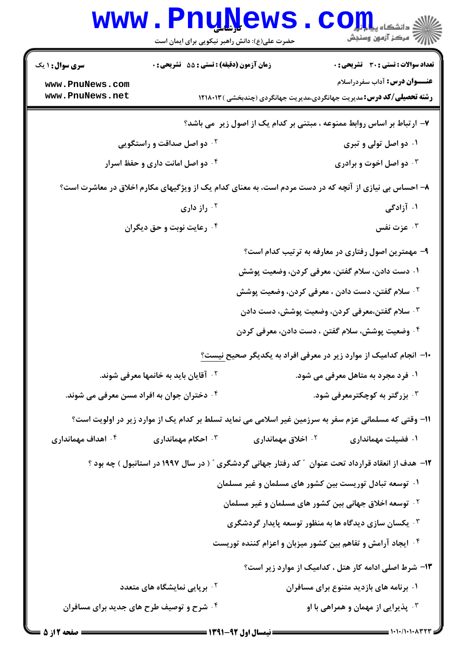|                                                                                                       | www.PnuNews<br>حضرت علی(ع): دانش راهبر نیکویی برای ایمان است |                                                                    | اللا دانشڪاء پيا <mark>۾ بور</mark><br>الا سرڪز آزمون وسنڊش                                                          |  |
|-------------------------------------------------------------------------------------------------------|--------------------------------------------------------------|--------------------------------------------------------------------|----------------------------------------------------------------------------------------------------------------------|--|
| <b>سری سوال : ۱ یک</b>                                                                                | زمان آزمون (دقیقه) : تستی : 55 آتشریحی : 0                   |                                                                    | <b>تعداد سوالات : تستی : 30 ٪ تشریحی : 0</b>                                                                         |  |
| www.PnuNews.com<br>www.PnuNews.net                                                                    |                                                              |                                                                    | <b>عنـــوان درس:</b> آداب سفردراسلام<br><b>رشته تحصیلی/کد درس:</b> مدیریت جهانگردی،مدیریت جهانگردی (چندبخشی )۱۲۱۸۰۱۳ |  |
|                                                                                                       |                                                              |                                                                    | ۷- ارتباط بر اساس روابط ممنوعه ، مبتنی بر کدام یک از اصول زیر ًمی باشد؟                                              |  |
| <b>۰۲ دو اصل صداقت و راستگویی</b>                                                                     |                                                              |                                                                    | ۰۱ دو اصل تولی و تبری                                                                                                |  |
| ۰۴ دو اصل امانت داری و حفظ اسرار                                                                      |                                                              |                                                                    | ۰۳ دو اصل اخوت و برادری                                                                                              |  |
| ۸– احساس بی نیازی از آنچه که در دست مردم است، به معنای کدام یک از ویژگیهای مکارم اخلاق در معاشرت است؟ |                                                              |                                                                    |                                                                                                                      |  |
|                                                                                                       | راز داری $\cdot^\intercal$                                   |                                                                    | ۰۱ آزادگی                                                                                                            |  |
| ۰۴ رعایت نوبت و حق دیگران                                                                             |                                                              |                                                                    | عزت نفس $\cdot^{\mathtt{w}}$                                                                                         |  |
|                                                                                                       |                                                              |                                                                    | ۹– مهمترین اصول رفتاری در معارفه به ترتیب کدام است؟                                                                  |  |
|                                                                                                       |                                                              | ۰۱ دست دادن، سلام گفتن، معرفی کردن، وضعیت پوشش                     |                                                                                                                      |  |
|                                                                                                       |                                                              | <sup>۲</sup> ۰ سلام گفتن، دست دادن ، معرفی کردن، وضعیت پوشش        |                                                                                                                      |  |
|                                                                                                       |                                                              |                                                                    | ۰۳ سلام گفتن،معرفی کردن، وضعیت پوشش، دست دادن                                                                        |  |
|                                                                                                       |                                                              | ۰۴ وضعیت پوشش، سلام گفتن ، دست دادن، معرفی کردن                    |                                                                                                                      |  |
|                                                                                                       |                                                              |                                                                    | ∙ا− انجام کدامیک از موارد زیر در معرفی افراد به یکدیگر صحیح نیست؟                                                    |  |
|                                                                                                       | <b>گ آقایان باید به خانمها معرفی شوند.</b>                   |                                                                    | ۰۱ فرد مجرد به متاهل معرفی می شود.                                                                                   |  |
|                                                                                                       | ۰۴ دختران جوان به افراد مسن معرفی می شوند.                   |                                                                    | ۰ <sup>۳</sup> بزرگتر به کوچکترمعرفی شود.                                                                            |  |
| 1۱– وقتی که مسلمانی عزم سفر به سرزمین غیر اسلامی می نماید تسلط بر کدام یک از موارد زیر در اولویت است؟ |                                                              |                                                                    |                                                                                                                      |  |
| ۰۴ اهداف مهمانداری                                                                                    | احکام مهمانداری $\cdot^{\mathtt{w}}$                         | اخلاق مهمانداری $\cdot$ ۲                                          | ۰۱ فضیلت مهمانداری                                                                                                   |  |
|                                                                                                       |                                                              |                                                                    | ۱۲- هدف از انعقاد قرارداد تحت عنوان ″ کد رفتار جهانی گردشگری ″ ( در سال ۱۹۹۷ در استانبول ) چه بود ؟                  |  |
|                                                                                                       |                                                              | ۰۱ توسعه تبادل توریست بین کشور های مسلمان و غیر مسلمان             |                                                                                                                      |  |
|                                                                                                       |                                                              | <sup>7</sup> ·  توسعه اخلاق جهانی بین کشور های مسلمان و غیر مسلمان |                                                                                                                      |  |
|                                                                                                       |                                                              | خشمان سازی دیدگاه ها به منظور توسعه پایدار گردشگری $\cdot$         |                                                                                                                      |  |
|                                                                                                       |                                                              | ۰۴ ایجاد آرامش و تفاهم بین کشور میزبان و اعزام کننده توریست        |                                                                                                                      |  |
|                                                                                                       |                                                              |                                                                    | ۱۳- شرط اصلی ادامه کار هتل ، کدامیک از موارد زیر است؟                                                                |  |
|                                                                                                       | <sup>۲</sup> ۰ برپایی نمایشگاه های متعدد                     |                                                                    | ۰۱ برنامه های بازدید متنوع برای مسافران                                                                              |  |
|                                                                                                       | ۰۴ شرح و توصیف طرح های جدید برای مسافران                     |                                                                    | <b>4 . پذیرایی از مهمان و همراهی با او</b>                                                                           |  |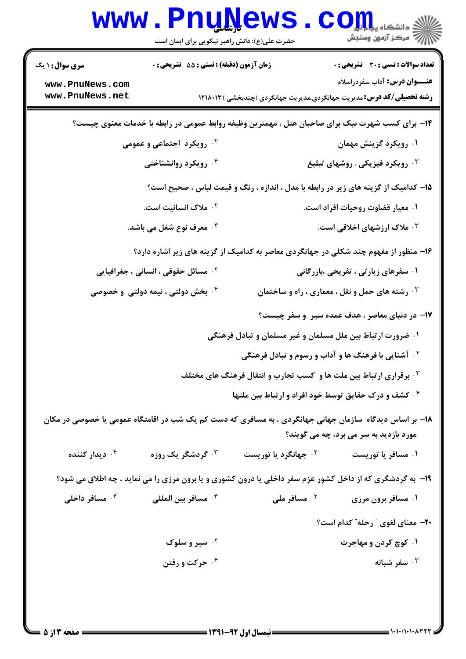|                                      | www.PnuNews<br>حضرت علی(ع): دانش راهبر نیکویی برای ایمان است |                                                                           | الله دانشڪاه پيام در الله<br>الله عرض آنهون وسنڊش                                                                                                  |  |
|--------------------------------------|--------------------------------------------------------------|---------------------------------------------------------------------------|----------------------------------------------------------------------------------------------------------------------------------------------------|--|
| <b>سری سوال : ۱ یک</b>               | زمان آزمون (دقیقه) : تستی : 55 آتشریحی : 0                   |                                                                           | <b>تعداد سوالات : تستی : 30 ٪ تشریحی : 0</b>                                                                                                       |  |
| www.PnuNews.com<br>www.PnuNews.net   |                                                              |                                                                           | <b>عنـــوان درس:</b> آداب سفردراسلام<br><b>رشته تحصیلی/کد درس:</b> مدیریت جهانگردی،مدیریت جهانگردی (چندبخشی ) ۱۲۱۸۰۱۳                              |  |
|                                      |                                                              |                                                                           | ۱۴– برای کسب شهرت نیک برای صاحبان هتل ، مهمترین وظیفه روابط عمومی در رابطه با خدمات معنوی چیست؟                                                    |  |
| ۰۲ رویکرد اجتماعی و عمومی            |                                                              |                                                                           | ۰۱ رویکرد گزینش مهمان                                                                                                                              |  |
|                                      | ۰۴ رویکرد روانشناختی                                         | ۰ <sup>۳</sup> رویکرد فیزیکی . روشهای تبلیغ                               |                                                                                                                                                    |  |
|                                      |                                                              |                                                                           | ۱۵– کدامیک از گزینه های زیر در رابطه با مدل ، اندازه ، رنگ و قیمت لباس ، صحیح است؟                                                                 |  |
| ۰۲ ملاک انسانیت است.                 |                                                              | ۰۱ معیار قضاوت روحیات افراد است.                                          |                                                                                                                                                    |  |
| ۰ <sup>۴</sup> معرف نوع شغل می باشد. |                                                              | ۰ <sup>۳</sup> ملاک ارزشهای اخلاقی است.                                   |                                                                                                                                                    |  |
|                                      |                                                              |                                                                           | ۱۶- منظور از مفهوم چند شکلی در جهانگردی معاصر به کدامیک از گزینه های زیر اشاره دارد؟                                                               |  |
|                                      | <b>گ مسائل حقوقی ، انسانی ، جغرافیایی</b>                    | ۰۱ سفرهای زیارتی ، تفریحی ،بازرگانی                                       |                                                                                                                                                    |  |
|                                      | ۰۴ بخش دولتی ، نیمه دولتی و خصوصی                            |                                                                           | $\cdot$ رشته های حمل و نقل ، معماری ، راه و ساختمان $\cdot^{\textsf{w}}$                                                                           |  |
|                                      |                                                              |                                                                           | ۱۷– در دنیای معاصر ، هدف عمده سیر و سفر چیست؟                                                                                                      |  |
|                                      |                                                              | ۰۱ ضرورت ارتباط بین ملل مسلمان و غیر مسلمان و تبادل فرهنگی                |                                                                                                                                                    |  |
|                                      |                                                              | <b>گ آشنایی با فرهنگ ها و آداب و رسوم و تبادل فرهنگی</b>                  |                                                                                                                                                    |  |
|                                      |                                                              | <b>۳ . برقراری ارتباط بین ملت ها و کسب تجارب و انتقال فرهنگ های مختلف</b> |                                                                                                                                                    |  |
|                                      |                                                              | ۰۴ کشف و درک حقایق توسط خود افراد و ارتباط بین ملتها                      |                                                                                                                                                    |  |
|                                      |                                                              |                                                                           | ۱۸– بر اساس دیدگاه  سازمان جهانی جهانگردی ، به مسافری که دست کم یک شب در اقامتگاه عمومی یا خصوصی در مکان<br>مورد بازدید به سر می برد، چه می گویند؟ |  |
| ۰ <sup>۴</sup> دیدار کننده           | ۰ <sup>۳</sup> گردشگر یک روزه                                | ۰ <sup>۲</sup> جهانگرد یا توریست                                          | ۰۱ مسافر یا توریست                                                                                                                                 |  |
|                                      |                                                              |                                                                           | ۱۹- به گردشگری که از داخل کشور عزم سفر داخلی یا درون کشوری و یا برون مرزی را می نماید ، چه اطلاق می شود؟                                           |  |
| ۰۴ مسافر داخلی                       | ۰ <sup>۳</sup> مسافر بين المللي                              | ۰ <sup>۲</sup> مسافر ملی                                                  | ۰۱ مسافر برون مرزی                                                                                                                                 |  |
|                                      |                                                              |                                                                           | <b>۰۲-</b> معنای لغوی " رحله" کدام است؟                                                                                                            |  |
|                                      | ۰ <sup>۲</sup> سیر و سلوک                                    |                                                                           | ۰۱ کوچ کردن و مهاجرت                                                                                                                               |  |
|                                      | ۰۴ حرکت و رفتن                                               |                                                                           | سفر شبانه $\cdot$ "                                                                                                                                |  |
|                                      |                                                              |                                                                           |                                                                                                                                                    |  |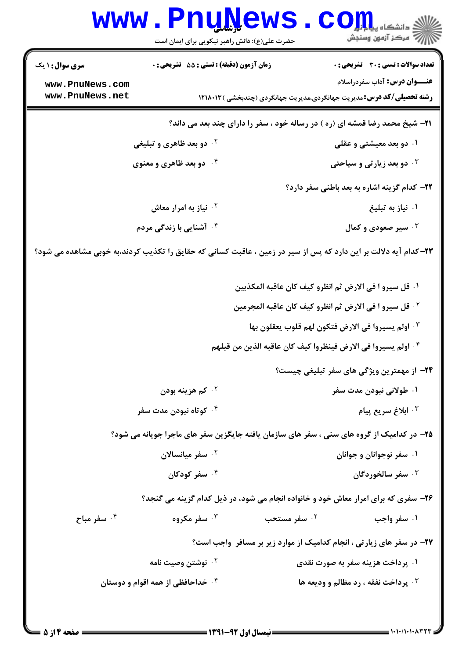|                                                                                     | www.PnuNews<br>حضرت علی(ع): دانش راهبر نیکویی برای ایمان است                                                    |                                                                          | ن<br>ان دانشگاه پی <mark>د برلی</mark><br>از مرکز آزمون وسنجش                                                        |  |
|-------------------------------------------------------------------------------------|-----------------------------------------------------------------------------------------------------------------|--------------------------------------------------------------------------|----------------------------------------------------------------------------------------------------------------------|--|
| <b>سری سوال : ۱ یک</b>                                                              | زمان آزمون (دقيقه) : تستى : 55 آتشريحى : 0                                                                      |                                                                          | <b>تعداد سوالات : تستی : 30 ٪ تشریحی : 0</b>                                                                         |  |
| www.PnuNews.com<br>www.PnuNews.net                                                  |                                                                                                                 |                                                                          | <b>عنـــوان درس:</b> آداب سفردراسلام<br><b>رشته تحصیلی/کد درس:</b> مدیریت جهانگردی،مدیریت جهانگردی (چندبخشی )۱۲۱۸۰۱۳ |  |
| <b>۲۱</b> - شیخ محمد رضا قمشه ای (ره ) در رساله خود ، سفر را دارای چند بعد می داند؟ |                                                                                                                 |                                                                          |                                                                                                                      |  |
|                                                                                     | <sup>۲</sup> ۰ دو بعد ظاهری و تبلیغی                                                                            |                                                                          | ۰۱ دو بعد معیشتی و عقلی                                                                                              |  |
|                                                                                     | ۰۴ دو بعد ظاهری و معنوی                                                                                         |                                                                          | <b>۰۳ دو بعد زیارتی و سیاحتی</b>                                                                                     |  |
|                                                                                     |                                                                                                                 |                                                                          | ٢٢- كدام گزينه اشاره به بعد باطني سفر دارد؟                                                                          |  |
|                                                                                     | <sup>۲.</sup> نیاز به امرار معاش                                                                                |                                                                          | ۰۱ نیاز به تبلیغ                                                                                                     |  |
|                                                                                     | ۰ <sup>۴</sup> آشنایی با زندگی مردم                                                                             |                                                                          | سير صعودی و کمال $\cdot^{\mathsf{y}}$                                                                                |  |
|                                                                                     | ۲۳–کدام آیه دلالت بر این دارد که پس از سیر در زمین ، عاقبت کسانی که حقایق را تکذیب کردند،به خوبی مشاهده می شود؟ |                                                                          |                                                                                                                      |  |
|                                                                                     |                                                                                                                 | ١. قل سيرو ا في الارض ثم انظرو كيف كان عاقبه المكذبين                    |                                                                                                                      |  |
|                                                                                     |                                                                                                                 | <sup>7</sup> · قل سيرو ا في الارض ثم انظرو كيف كان عاقبه المجرمين        |                                                                                                                      |  |
|                                                                                     |                                                                                                                 | <sup>٣.</sup> اولم يسيروا في الارض فتكون لهم قلوب يعقلون بها             |                                                                                                                      |  |
|                                                                                     |                                                                                                                 | <sup>4</sup> . اولم يسيروا في الارض فينظروا كيف كان عاقبه الذين من قبلهم |                                                                                                                      |  |
|                                                                                     |                                                                                                                 |                                                                          | ۲۴- از مهمترین ویژگی های سفر تبلیغی چیست؟                                                                            |  |
|                                                                                     | ۰۲ کم هزینه بودن                                                                                                |                                                                          | ۰۱ طولاني نبودن مدت سفر                                                                                              |  |
|                                                                                     | ۰۴ کوتاه نبودن مدت سفر                                                                                          |                                                                          | ۰ <sup>۳</sup> ابلاغ سريع پيام                                                                                       |  |
|                                                                                     | ۲۵– در کدامیک از گروه های سنی ، سفر های سازمان یافته جایگزین سفر های ماجرا جویانه می شود؟                       |                                                                          |                                                                                                                      |  |
|                                                                                     | ۰ <sup>۲</sup> سفر میانسالان                                                                                    |                                                                          | ۰۱ سفر نوجوانان و جوانان                                                                                             |  |
|                                                                                     | ۰۴ سفر کودکان                                                                                                   |                                                                          | ۰ <sup>۳</sup> سفر سالخوردگان                                                                                        |  |
|                                                                                     | ۲۶- سفری که برای امرار معاش خود و خانواده انجام می شود، در ذیل کدام گزینه می گنجد؟                              |                                                                          |                                                                                                                      |  |
| ۰۴ سفر مباح                                                                         | ۰۳ سفر مکروه                                                                                                    | ۰۲ سفر مستحب                                                             | ۰۱ سفر واجب                                                                                                          |  |
|                                                                                     |                                                                                                                 |                                                                          | <b>۲۷-</b> در سفر های زیارتی ، انجام کدامیک از موارد زیر بر مسافر ًواجب است؟                                         |  |
|                                                                                     | ۰ <sup>۲</sup> نوشتن وصیت نامه                                                                                  |                                                                          | ۰۱ پرداخت هزینه سفر به صورت نقدی                                                                                     |  |
|                                                                                     | ۰۴ خداحافظی از همه اقوام و دوستان                                                                               |                                                                          | <b>4 . پرداخت نفقه ، رد مظالم و وديعه ها</b>                                                                         |  |
|                                                                                     |                                                                                                                 |                                                                          |                                                                                                                      |  |